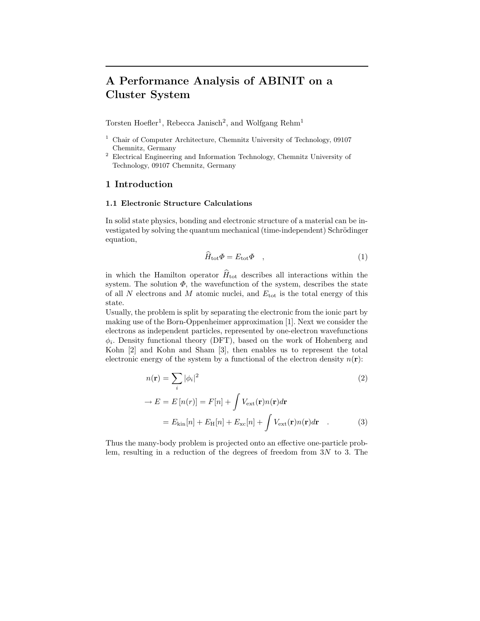# A Performance Analysis of ABINIT on a Cluster System

Torsten Hoefler<sup>1</sup>, Rebecca Janisch<sup>2</sup>, and Wolfgang Rehm<sup>1</sup>

- <sup>1</sup> Chair of Computer Architecture, Chemnitz University of Technology, 09107 Chemnitz, Germany
- <sup>2</sup> Electrical Engineering and Information Technology, Chemnitz University of Technology, 09107 Chemnitz, Germany

# 1 Introduction

# 1.1 Electronic Structure Calculations

In solid state physics, bonding and electronic structure of a material can be investigated by solving the quantum mechanical (time-independent) Schrödinger equation,

$$
\widehat{H}_{\text{tot}}\Phi = E_{\text{tot}}\Phi \quad , \tag{1}
$$

in which the Hamilton operator  $\widehat{H}_{\text{tot}}$  describes all interactions within the system. The solution  $\Phi$ , the wavefunction of the system, describes the state of all N electrons and M atomic nuclei, and  $E_{\text{tot}}$  is the total energy of this state.

Usually, the problem is split by separating the electronic from the ionic part by making use of the Born-Oppenheimer approximation [1]. Next we consider the electrons as independent particles, represented by one-electron wavefunctions  $\phi_i$ . Density functional theory (DFT), based on the work of Hohenberg and Kohn [2] and Kohn and Sham [3], then enables us to represent the total electronic energy of the system by a functional of the electron density  $n(\mathbf{r})$ :

$$
n(\mathbf{r}) = \sum_{i} |\phi_i|^2 \tag{2}
$$

$$
\rightarrow E = E [n(r)] = F[n] + \int V_{\text{ext}}(\mathbf{r}) n(\mathbf{r}) d\mathbf{r}
$$

$$
= E_{\text{kin}}[n] + E_{\text{H}}[n] + E_{\text{xc}}[n] + \int V_{\text{ext}}(\mathbf{r}) n(\mathbf{r}) d\mathbf{r} \tag{3}
$$

Thus the many-body problem is projected onto an effective one-particle problem, resulting in a reduction of the degrees of freedom from  $3N$  to 3. The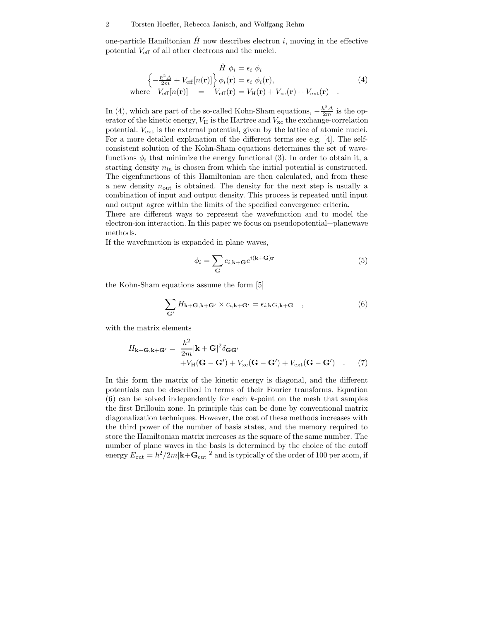one-particle Hamiltonian  $\hat{H}$  now describes electron i, moving in the effective potential  $V_{\rm eff}$  of all other electrons and the nuclei.

$$
\hat{H} \phi_i = \epsilon_i \phi_i
$$
\n
$$
\begin{cases}\n-\frac{\hbar^2 \Delta}{2m} + V_{\text{eff}}[n(\mathbf{r})]\n\end{cases} \phi_i(\mathbf{r}) = \epsilon_i \phi_i(\mathbf{r}),
$$
\nwhere  $V_{\text{eff}}[n(\mathbf{r})] = V_{\text{eff}}(\mathbf{r}) = V_{\text{H}}(\mathbf{r}) + V_{\text{xc}}(\mathbf{r}) + V_{\text{ext}}(\mathbf{r})$ .\n\n(4)

In (4), which are part of the so-called Kohn-Sham equations,  $-\frac{\hbar^2 \Delta}{2m}$  is the operator of the kinetic energy,  $V_H$  is the Hartree and  $V_{\text{xc}}$  the exchange-correlation potential.  $V_{\text{ext}}$  is the external potential, given by the lattice of atomic nuclei. For a more detailed explanation of the different terms see e.g. [4]. The selfconsistent solution of the Kohn-Sham equations determines the set of wavefunctions  $\phi_i$  that minimize the energy functional (3). In order to obtain it, a starting density  $n_{\text{in}}$  is chosen from which the initial potential is constructed. The eigenfunctions of this Hamiltonian are then calculated, and from these a new density  $n_{\text{out}}$  is obtained. The density for the next step is usually a combination of input and output density. This process is repeated until input and output agree within the limits of the specified convergence criteria.

There are different ways to represent the wavefunction and to model the electron-ion interaction. In this paper we focus on pseudopotential+planewave methods.

If the wavefunction is expanded in plane waves,

$$
\phi_i = \sum_{\mathbf{G}} c_{i,\mathbf{k}+\mathbf{G}} e^{i(\mathbf{k}+\mathbf{G})\mathbf{r}} \tag{5}
$$

the Kohn-Sham equations assume the form [5]

$$
\sum_{\mathbf{G}'} H_{\mathbf{k}+\mathbf{G},\mathbf{k}+\mathbf{G}'} \times c_{i,\mathbf{k}+\mathbf{G}'} = \epsilon_{i,\mathbf{k}} c_{i,\mathbf{k}+\mathbf{G}} \quad , \tag{6}
$$

with the matrix elements

$$
H_{\mathbf{k}+\mathbf{G},\mathbf{k}+\mathbf{G}'} = \frac{\hbar^2}{2m} |\mathbf{k}+\mathbf{G}|^2 \delta_{\mathbf{G}\mathbf{G}'}
$$
  
+ $V_{\mathrm{H}}(\mathbf{G}-\mathbf{G}') + V_{\mathrm{xc}}(\mathbf{G}-\mathbf{G}') + V_{\mathrm{ext}}(\mathbf{G}-\mathbf{G}') \quad . \tag{7}$ 

In this form the matrix of the kinetic energy is diagonal, and the different potentials can be described in terms of their Fourier transforms. Equation (6) can be solved independently for each k-point on the mesh that samples the first Brillouin zone. In principle this can be done by conventional matrix diagonalization techniques. However, the cost of these methods increases with the third power of the number of basis states, and the memory required to store the Hamiltonian matrix increases as the square of the same number. The number of plane waves in the basis is determined by the choice of the cutoff energy  $E_{\text{cut}} = \hbar^2/2m|\mathbf{k}+\mathbf{G}_{\text{cut}}|^2$  and is typically of the order of 100 per atom, if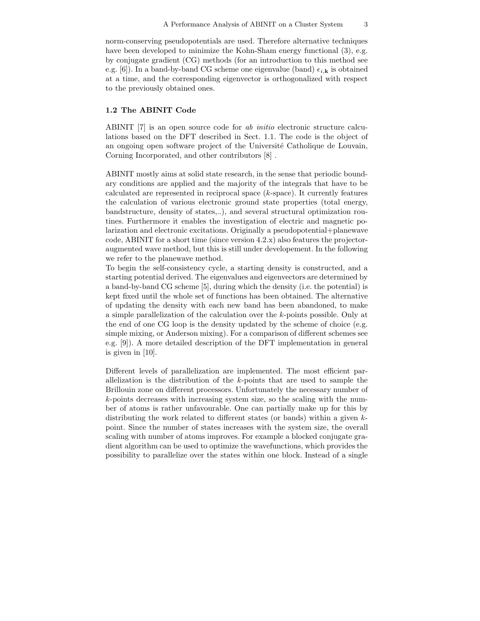norm-conserving pseudopotentials are used. Therefore alternative techniques have been developed to minimize the Kohn-Sham energy functional (3), e.g. by conjugate gradient (CG) methods (for an introduction to this method see e.g. [6]). In a band-by-band CG scheme one eigenvalue (band)  $\epsilon_{i,k}$  is obtained at a time, and the corresponding eigenvector is orthogonalized with respect to the previously obtained ones.

## 1.2 The ABINIT Code

ABINIT [7] is an open source code for ab initio electronic structure calculations based on the DFT described in Sect. 1.1. The code is the object of an ongoing open software project of the Université Catholique de Louvain, Corning Incorporated, and other contributors [8] .

ABINIT mostly aims at solid state research, in the sense that periodic boundary conditions are applied and the majority of the integrals that have to be calculated are represented in reciprocal space  $(k\text{-space})$ . It currently features the calculation of various electronic ground state properties (total energy, bandstructure, density of states,..), and several structural optimization routines. Furthermore it enables the investigation of electric and magnetic polarization and electronic excitations. Originally a pseudopotential+planewave code, ABINIT for a short time (since version 4.2.x) also features the projectoraugmented wave method, but this is still under developement. In the following we refer to the planewave method.

To begin the self-consistency cycle, a starting density is constructed, and a starting potential derived. The eigenvalues and eigenvectors are determined by a band-by-band CG scheme [5], during which the density (i.e. the potential) is kept fixed until the whole set of functions has been obtained. The alternative of updating the density with each new band has been abandoned, to make a simple parallelization of the calculation over the k-points possible. Only at the end of one CG loop is the density updated by the scheme of choice (e.g. simple mixing, or Anderson mixing). For a comparison of different schemes see e.g. [9]). A more detailed description of the DFT implementation in general is given in [10].

Different levels of parallelization are implemented. The most efficient parallelization is the distribution of the k-points that are used to sample the Brillouin zone on different processors. Unfortunately the necessary number of k-points decreases with increasing system size, so the scaling with the number of atoms is rather unfavourable. One can partially make up for this by distributing the work related to different states (or bands) within a given  $k$ point. Since the number of states increases with the system size, the overall scaling with number of atoms improves. For example a blocked conjugate gradient algorithm can be used to optimize the wavefunctions, which provides the possibility to parallelize over the states within one block. Instead of a single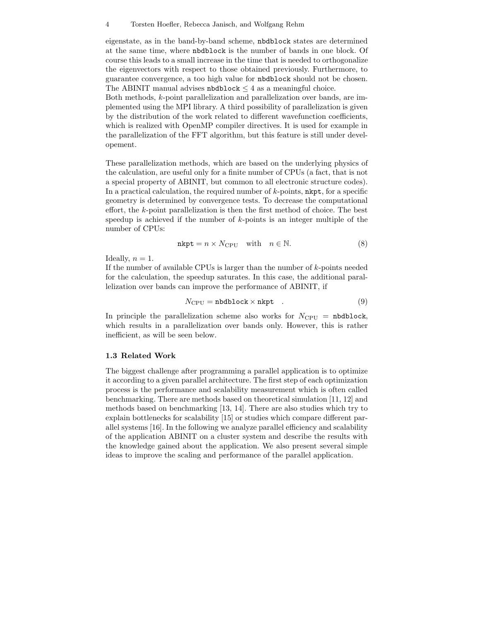#### 4 Torsten Hoefler, Rebecca Janisch, and Wolfgang Rehm

eigenstate, as in the band-by-band scheme, nbdblock states are determined at the same time, where nbdblock is the number of bands in one block. Of course this leads to a small increase in the time that is needed to orthogonalize the eigenvectors with respect to those obtained previously. Furthermore, to guarantee convergence, a too high value for nbdblock should not be chosen. The ABINIT manual advises nbdblock  $\leq 4$  as a meaningful choice.

Both methods, k-point parallelization and parallelization over bands, are implemented using the MPI library. A third possibility of parallelization is given by the distribution of the work related to different wavefunction coefficients, which is realized with OpenMP compiler directives. It is used for example in the parallelization of the FFT algorithm, but this feature is still under developement.

These parallelization methods, which are based on the underlying physics of the calculation, are useful only for a finite number of CPUs (a fact, that is not a special property of ABINIT, but common to all electronic structure codes). In a practical calculation, the required number of  $k$ -points, nkpt, for a specific geometry is determined by convergence tests. To decrease the computational effort, the k-point parallelization is then the first method of choice. The best speedup is achieved if the number of  $k$ -points is an integer multiple of the number of CPUs:

$$
n k p t = n \times N_{\text{CPU}} \quad \text{with} \quad n \in \mathbb{N}.
$$
 (8)

Ideally,  $n = 1$ .

If the number of available CPUs is larger than the number of  $k$ -points needed for the calculation, the speedup saturates. In this case, the additional parallelization over bands can improve the performance of ABINIT, if

$$
N_{\rm CPU} = \texttt{nbdblock} \times \texttt{nkpt} \quad . \tag{9}
$$

In principle the parallelization scheme also works for  $N_{\text{CPU}}$  = nbdblock, which results in a parallelization over bands only. However, this is rather inefficient, as will be seen below.

#### 1.3 Related Work

The biggest challenge after programming a parallel application is to optimize it according to a given parallel architecture. The first step of each optimization process is the performance and scalability measurement which is often called benchmarking. There are methods based on theoretical simulation [11, 12] and methods based on benchmarking [13, 14]. There are also studies which try to explain bottlenecks for scalability [15] or studies which compare different parallel systems [16]. In the following we analyze parallel efficiency and scalability of the application ABINIT on a cluster system and describe the results with the knowledge gained about the application. We also present several simple ideas to improve the scaling and performance of the parallel application.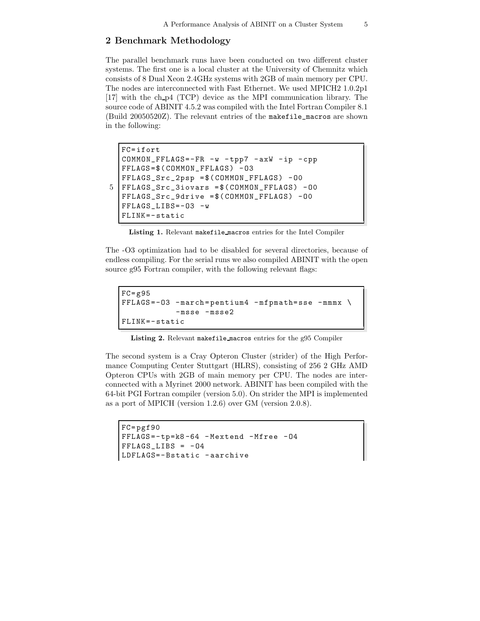# 2 Benchmark Methodology

The parallel benchmark runs have been conducted on two different cluster systems. The first one is a local cluster at the University of Chemnitz which consists of 8 Dual Xeon 2.4GHz systems with 2GB of main memory per CPU. The nodes are interconnected with Fast Ethernet. We used MPICH2 1.0.2p1 [17] with the ch p4 (TCP) device as the MPI communication library. The source code of ABINIT 4.5.2 was compiled with the Intel Fortran Compiler 8.1 (Build 20050520Z). The relevant entries of the makefile\_macros are shown in the following:

```
FC= ifort
  COMMON_FFLAGS=-FR -w - tpp7 -axW -ip -cpp
  FFLAGS =$( COMMON_FFLAGS) - O3
  FFLAGS_Src_2psp =$( COMMON_FFLAGS) - O0
5 |FFLAGS_Src_3iovars =$(COMMON_FFLAGS) -00
  FFLAGS_Src_9drive =$( COMMON_FFLAGS) -O0
  FFLAGS_LIBS=-O3 -w
  FLINK=- static
```
Listing 1. Relevant makefile macros entries for the Intel Compiler

The -O3 optimization had to be disabled for several directories, because of endless compiling. For the serial runs we also compiled ABINIT with the open source g95 Fortran compiler, with the following relevant flags:

```
FC = g95FFLAGS = -03 -march = pentium4 -mfpmath = sse -mmmx \
            -msse - msse2
FLINK=- static
```
Listing 2. Relevant makefile macros entries for the g95 Compiler

The second system is a Cray Opteron Cluster (strider) of the High Performance Computing Center Stuttgart (HLRS), consisting of 256 2 GHz AMD Opteron CPUs with 2GB of main memory per CPU. The nodes are interconnected with a Myrinet 2000 network. ABINIT has been compiled with the 64-bit PGI Fortran compiler (version 5.0). On strider the MPI is implemented as a port of MPICH (version 1.2.6) over GM (version 2.0.8).

```
FC = pgf90FFLAGS = -tp = k8 - 64 - Mextend - Mfree - 04FFLAGS_LIBS = -04LDFLAGS=- Bstatic - aarchive
```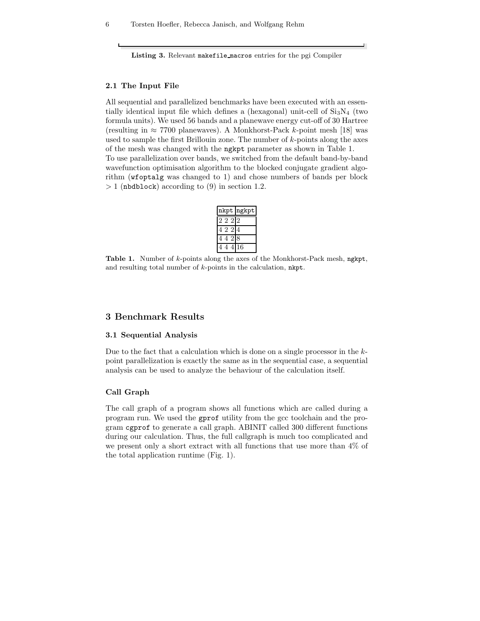Listing 3. Relevant makefile macros entries for the pgi Compiler

## 2.1 The Input File

All sequential and parallelized benchmarks have been executed with an essentially identical input file which defines a (hexagonal) unit-cell of  $Si<sub>3</sub>N<sub>4</sub>$  (two formula units). We used 56 bands and a planewave energy cut-off of 30 Hartree (resulting in  $\approx$  7700 planewaves). A Monkhorst-Pack k-point mesh [18] was used to sample the first Brillouin zone. The number of  $k$ -points along the axes of the mesh was changed with the ngkpt parameter as shown in Table 1. To use parallelization over bands, we switched from the default band-by-band wavefunction optimisation algorithm to the blocked conjugate gradient algorithm (wfoptalg was changed to 1) and chose numbers of bands per block  $> 1$  (nbdblock) according to (9) in section 1.2.

| nkpt                     | ngkpt |
|--------------------------|-------|
| $\cdot$<br>$\mathcal{L}$ |       |
| 22                       |       |
|                          | 8     |
|                          | 6     |

Table 1. Number of k-points along the axes of the Monkhorst-Pack mesh, ngkpt, and resulting total number of  $k$ -points in the calculation,  $n$ kpt.

# 3 Benchmark Results

## 3.1 Sequential Analysis

Due to the fact that a calculation which is done on a single processor in the kpoint parallelization is exactly the same as in the sequential case, a sequential analysis can be used to analyze the behaviour of the calculation itself.

## Call Graph

The call graph of a program shows all functions which are called during a program run. We used the gprof utility from the gcc toolchain and the program cgprof to generate a call graph. ABINIT called 300 different functions during our calculation. Thus, the full callgraph is much too complicated and we present only a short extract with all functions that use more than 4% of the total application runtime (Fig. 1).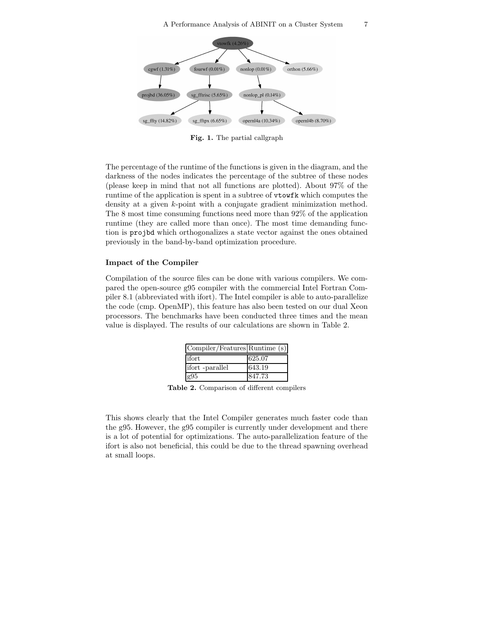

Fig. 1. The partial callgraph

The percentage of the runtime of the functions is given in the diagram, and the darkness of the nodes indicates the percentage of the subtree of these nodes (please keep in mind that not all functions are plotted). About 97% of the runtime of the application is spent in a subtree of vtowfk which computes the density at a given k-point with a conjugate gradient minimization method. The 8 most time consuming functions need more than 92% of the application runtime (they are called more than once). The most time demanding function is projbd which orthogonalizes a state vector against the ones obtained previously in the band-by-band optimization procedure.

#### Impact of the Compiler

Compilation of the source files can be done with various compilers. We compared the open-source g95 compiler with the commercial Intel Fortran Compiler 8.1 (abbreviated with ifort). The Intel compiler is able to auto-parallelize the code (cmp. OpenMP), this feature has also been tested on our dual Xeon processors. The benchmarks have been conducted three times and the mean value is displayed. The results of our calculations are shown in Table 2.

| Compiler/Features Runtime (s) |        |
|-------------------------------|--------|
| ifort                         | 625.07 |
| ifort -parallel               | 643.19 |
| g95                           | 847.73 |

Table 2. Comparison of different compilers

This shows clearly that the Intel Compiler generates much faster code than the g95. However, the g95 compiler is currently under development and there is a lot of potential for optimizations. The auto-parallelization feature of the ifort is also not beneficial, this could be due to the thread spawning overhead at small loops.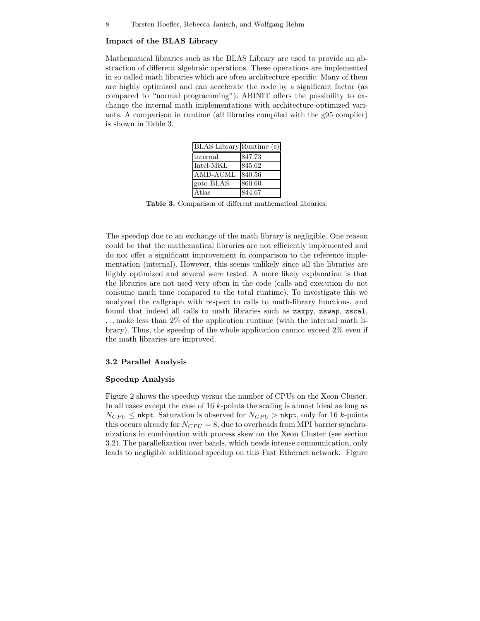# Impact of the BLAS Library

Mathematical libraries such as the BLAS Library are used to provide an abstraction of different algebraic operations. These operations are implemented in so called math libraries which are often architecture specific. Many of them are highly optimized and can accelerate the code by a significant factor (as compared to "normal programming"). ABINIT offers the possibility to exchange the internal math implementations with architecture-optimized variants. A comparison in runtime (all libraries compiled with the g95 compiler) is shown in Table 3.

| BLAS Library Runtime (s) |        |
|--------------------------|--------|
| internal                 | 847.73 |
| Intel-MKL                | 845.62 |
| AMD-ACML                 | 840.56 |
| goto BLAS                | 860.60 |
| Atlas                    | 844.67 |

Table 3. Comparison of different mathematical libraries.

The speedup due to an exchange of the math library is negligible. One reason could be that the mathematical libraries are not efficiently implemented and do not offer a significant improvement in comparison to the reference implementation (internal). However, this seems unlikely since all the libraries are highly optimized and several were tested. A more likely explanation is that the libraries are not used very often in the code (calls and execution do not consume much time compared to the total runtime). To investigate this we analyzed the callgraph with respect to calls to math-library functions, and found that indeed all calls to math libraries such as zaxpy, zswap, zscal, . . . make less than 2% of the application runtime (with the internal math library). Thus, the speedup of the whole application cannot exceed 2% even if the math libraries are improved.

## 3.2 Parallel Analysis

#### Speedup Analysis

Figure 2 shows the speedup versus the number of CPUs on the Xeon Cluster. In all cases except the case of 16 k-points the scaling is almost ideal as long as  $N_{CPU} \leq$  nkpt. Saturation is observed for  $N_{CPU} >$  nkpt, only for 16 k-points this occurs already for  $N_{CPU} = 8$ , due to overheads from MPI barrier synchronizations in combination with process skew on the Xeon Cluster (see section 3.2). The parallelization over bands, which needs intense communication, only leads to negligible additional speedup on this Fast Ethernet network. Figure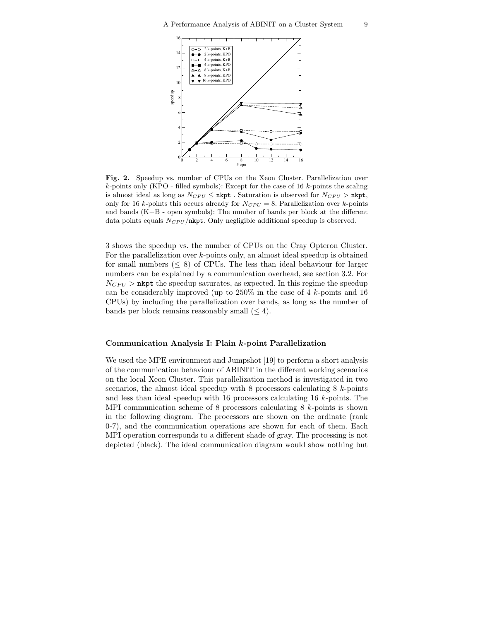

Fig. 2. Speedup vs. number of CPUs on the Xeon Cluster. Parallelization over  $k$ -points only (KPO - filled symbols): Except for the case of 16  $k$ -points the scaling is almost ideal as long as  $N_{CPU} \leq \text{nkpt}$ . Saturation is observed for  $N_{CPU} > \text{nkpt}$ , only for 16 k-points this occurs already for  $N_{CPU} = 8$ . Parallelization over k-points and bands (K+B - open symbols): The number of bands per block at the different data points equals  $N_{CPU} / \text{nkpt}$ . Only negligible additional speedup is observed.

3 shows the speedup vs. the number of CPUs on the Cray Opteron Cluster. For the parallelization over  $k$ -points only, an almost ideal speedup is obtained for small numbers  $(< 8$ ) of CPUs. The less than ideal behaviour for larger numbers can be explained by a communication overhead, see section 3.2. For  $N_{CPU}$  > nkpt the speedup saturates, as expected. In this regime the speedup can be considerably improved (up to  $250\%$  in the case of 4 k-points and 16 CPUs) by including the parallelization over bands, as long as the number of bands per block remains reasonably small  $(\leq 4)$ .

#### Communication Analysis I: Plain k-point Parallelization

We used the MPE environment and Jumpshot [19] to perform a short analysis of the communication behaviour of ABINIT in the different working scenarios on the local Xeon Cluster. This parallelization method is investigated in two scenarios, the almost ideal speedup with 8 processors calculating 8 k-points and less than ideal speedup with 16 processors calculating 16 k-points. The MPI communication scheme of 8 processors calculating 8 k-points is shown in the following diagram. The processors are shown on the ordinate (rank 0-7), and the communication operations are shown for each of them. Each MPI operation corresponds to a different shade of gray. The processing is not depicted (black). The ideal communication diagram would show nothing but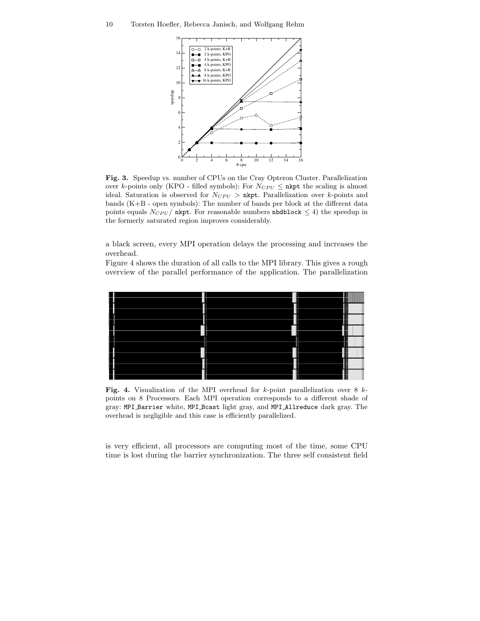

Fig. 3. Speedup vs. number of CPUs on the Cray Opteron Cluster. Parallelization over k-points only (KPO - filled symbols): For  $N_{CPU} <$  nkpt the scaling is almost ideal. Saturation is observed for  $N_{CPU} > n$ kpt. Parallelization over k-points and bands (K+B - open symbols): The number of bands per block at the different data points equals  $N_{CPU}$  / nkpt. For reasonable numbers nbdblock  $\leq 4$ ) the speedup in the formerly saturated region improves considerably.

a black screen, every MPI operation delays the processing and increases the overhead.

Figure 4 shows the duration of all calls to the MPI library. This gives a rough overview of the parallel performance of the application. The parallelization



Fig. 4. Visualization of the MPI overhead for  $k$ -point parallelization over 8  $k$ points on 8 Processors. Each MPI operation corresponds to a different shade of gray: MPI Barrier white, MPI Bcast light gray, and MPI Allreduce dark gray. The overhead is negligible and this case is efficiently parallelized.

is very efficient, all processors are computing most of the time, some CPU time is lost during the barrier synchronization. The three self consistent field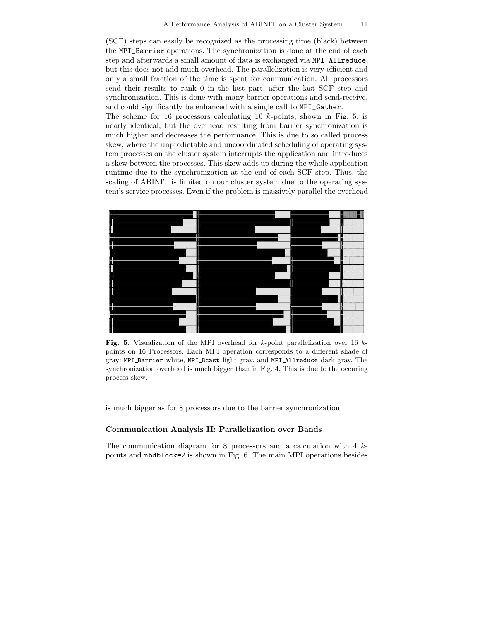(SCF) steps can easily be recognized as the processing time (black) between the MPI\_Barrier operations. The synchronization is done at the end of each step and afterwards a small amount of data is exchanged via MPI\_Allreduce, but this does not add much overhead. The parallelization is very efficient and only a small fraction of the time is spent for communication. All processors send their results to rank 0 in the last part, after the last SCF step and synchronization. This is done with many barrier operations and send-receive, and could significantly be enhanced with a single call to MPI\_Gather.

The scheme for 16 processors calculating 16 k-points, shown in Fig. 5, is nearly identical, but the overhead resulting from barrier synchronization is much higher and decreases the performance. This is due to so called process skew, where the unpredictable and uncoordinated scheduling of operating system processes on the cluster system interrupts the application and introduces a skew between the processes. This skew adds up during the whole application runtime due to the synchronization at the end of each SCF step. Thus, the scaling of ABINIT is limited on our cluster system due to the operating system's service processes. Even if the problem is massively parallel the overhead



**Fig. 5.** Visualization of the MPI overhead for  $k$ -point parallelization over 16  $k$ points on 16 Processors. Each MPI operation corresponds to a different shade of gray: MPI Barrier white, MPI Bcast light gray, and MPI Allreduce dark gray. The synchronization overhead is much bigger than in Fig. 4. This is due to the occuring process skew.

is much bigger as for 8 processors due to the barrier synchronization.

#### Communication Analysis II: Parallelization over Bands

The communication diagram for 8 processors and a calculation with  $4k$ points and nbdblock=2 is shown in Fig. 6. The main MPI operations besides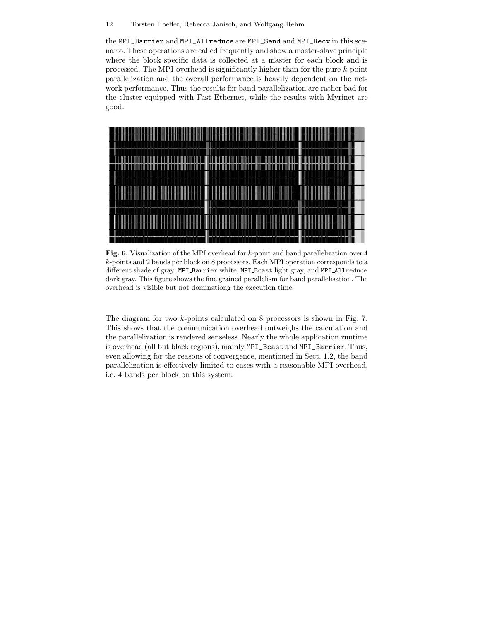12 Torsten Hoefler, Rebecca Janisch, and Wolfgang Rehm

the MPI\_Barrier and MPI\_Allreduce are MPI\_Send and MPI\_Recv in this scenario. These operations are called frequently and show a master-slave principle where the block specific data is collected at a master for each block and is processed. The MPI-overhead is significantly higher than for the pure k-point parallelization and the overall performance is heavily dependent on the network performance. Thus the results for band parallelization are rather bad for the cluster equipped with Fast Ethernet, while the results with Myrinet are good.



Fig. 6. Visualization of the MPI overhead for k-point and band parallelization over 4 k-points and 2 bands per block on 8 processors. Each MPI operation corresponds to a different shade of gray: MPI Barrier white, MPI Bcast light gray, and MPI Allreduce dark gray. This figure shows the fine grained parallelism for band parallelisation. The overhead is visible but not dominationg the execution time.

The diagram for two k-points calculated on 8 processors is shown in Fig. 7. This shows that the communication overhead outweighs the calculation and the parallelization is rendered senseless. Nearly the whole application runtime is overhead (all but black regions), mainly MPI\_Bcast and MPI\_Barrier. Thus, even allowing for the reasons of convergence, mentioned in Sect. 1.2, the band parallelization is effectively limited to cases with a reasonable MPI overhead, i.e. 4 bands per block on this system.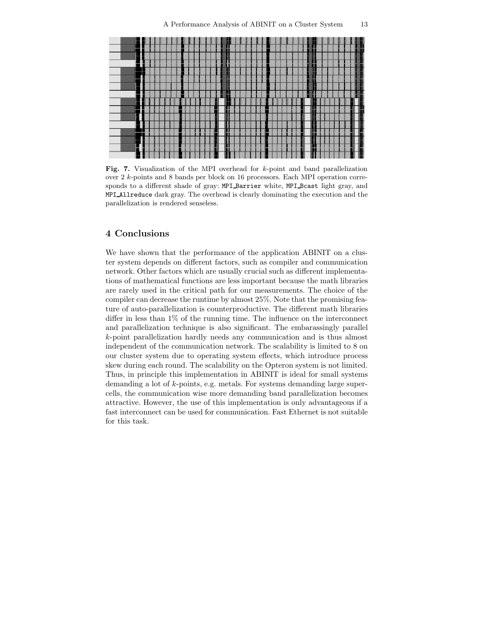

Fig. 7. Visualization of the MPI overhead for k-point and band parallelization over 2 k-points and 8 bands per block on 16 processors. Each MPI operation corresponds to a different shade of gray: MPI Barrier white, MPI Bcast light gray, and MPI Allreduce dark gray. The overhead is clearly dominating the execution and the parallelization is rendered senseless.

# 4 Conclusions

We have shown that the performance of the application ABINIT on a cluster system depends on different factors, such as compiler and communication network. Other factors which are usually crucial such as different implementations of mathematical functions are less important because the math libraries are rarely used in the critical path for our measurements. The choice of the compiler can decrease the runtime by almost 25%. Note that the promising feature of auto-parallelization is counterproductive. The different math libraries differ in less than 1% of the running time. The influence on the interconnect and parallelization technique is also significant. The embarassingly parallel k-point parallelization hardly needs any communication and is thus almost independent of the communication network. The scalability is limited to 8 on our cluster system due to operating system effects, which introduce process skew during each round. The scalability on the Opteron system is not limited. Thus, in principle this implementation in ABINIT is ideal for small systems demanding a lot of k-points, e.g. metals. For systems demanding large supercells, the communication wise more demanding band parallelization becomes attractive. However, the use of this implementation is only advantageous if a fast interconnect can be used for communication. Fast Ethernet is not suitable for this task.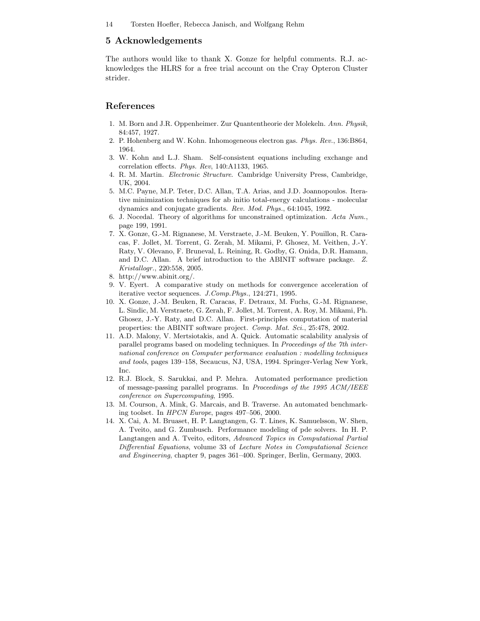## 5 Acknowledgements

The authors would like to thank X. Gonze for helpful comments. R.J. acknowledges the HLRS for a free trial account on the Cray Opteron Cluster strider.

# References

- 1. M. Born and J.R. Oppenheimer. Zur Quantentheorie der Molekeln. Ann. Physik, 84:457, 1927.
- 2. P. Hohenberg and W. Kohn. Inhomogeneous electron gas. Phys. Rev., 136:B864, 1964.
- 3. W. Kohn and L.J. Sham. Self-consistent equations including exchange and correlation effects. Phys. Rev, 140:A1133, 1965.
- 4. R. M. Martin. Electronic Structure. Cambridge University Press, Cambridge, UK, 2004.
- 5. M.C. Payne, M.P. Teter, D.C. Allan, T.A. Arias, and J.D. Joannopoulos. Iterative minimization techniques for ab initio total-energy calculations - molecular dynamics and conjugate gradients. Rev. Mod. Phys., 64:1045, 1992.
- 6. J. Nocedal. Theory of algorithms for unconstrained optimization. Acta Num., page 199, 1991.
- 7. X. Gonze, G.-M. Rignanese, M. Verstraete, J.-M. Beuken, Y. Pouillon, R. Caracas, F. Jollet, M. Torrent, G. Zerah, M. Mikami, P. Ghosez, M. Veithen, J.-Y. Raty, V. Olevano, F. Bruneval, L. Reining, R. Godby, G. Onida, D.R. Hamann, and D.C. Allan. A brief introduction to the ABINIT software package. Z. Kristallogr., 220:558, 2005.
- 8. http://www.abinit.org/.
- 9. V. Eyert. A comparative study on methods for convergence acceleration of iterative vector sequences. J.Comp.Phys., 124:271, 1995.
- 10. X. Gonze, J.-M. Beuken, R. Caracas, F. Detraux, M. Fuchs, G.-M. Rignanese, L. Sindic, M. Verstraete, G. Zerah, F. Jollet, M. Torrent, A. Roy, M. Mikami, Ph. Ghosez, J.-Y. Raty, and D.C. Allan. First-principles computation of material properties: the ABINIT software project. Comp. Mat. Sci., 25:478, 2002.
- 11. A.D. Malony, V. Mertsiotakis, and A. Quick. Automatic scalability analysis of parallel programs based on modeling techniques. In Proceedings of the 7th international conference on Computer performance evaluation : modelling techniques and tools, pages 139–158, Secaucus, NJ, USA, 1994. Springer-Verlag New York, Inc.
- 12. R.J. Block, S. Sarukkai, and P. Mehra. Automated performance prediction of message-passing parallel programs. In Proceedings of the 1995 ACM/IEEE conference on Supercomputing, 1995.
- 13. M. Courson, A. Mink, G. Marcais, and B. Traverse. An automated benchmarking toolset. In HPCN Europe, pages 497–506, 2000.
- 14. X. Cai, A. M. Bruaset, H. P. Langtangen, G. T. Lines, K. Samuelsson, W. Shen, A. Tveito, and G. Zumbusch. Performance modeling of pde solvers. In H. P. Langtangen and A. Tveito, editors, Advanced Topics in Computational Partial Differential Equations, volume 33 of Lecture Notes in Computational Science and Engineering, chapter 9, pages 361–400. Springer, Berlin, Germany, 2003.